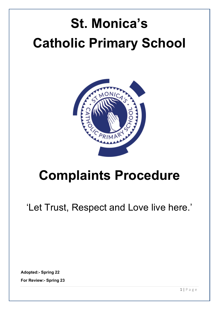# **St. Monica's Catholic Primary School**



# **Complaints Procedure**

'Let Trust, Respect and Love live here.'

**Adopted:- Spring 22**

**For Review:- Spring 23**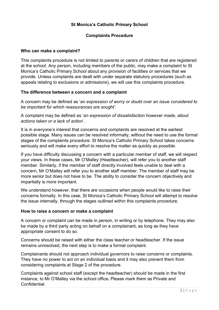# **St Monica's Catholic Primary School**

#### **Complaints Procedure**

#### **Who can make a complaint?**

This complaints procedure is not limited to parents or carers of children that are registered at the school. Any person, including members of the public, may make a complaint to St Monica's Catholic Primary School about any provision of facilities or services that we provide. Unless complaints are dealt with under separate statutory procedures (such as appeals relating to exclusions or admissions), we will use this complaints procedure.

#### **The difference between a concern and a complaint**

A concern may be defined as '*an expression of worry or doubt over an issue considered to be important for which reassurances are sought'*.

A complaint may be defined as '*an expression of dissatisfaction however made, about actions taken or a lack of action*'.

It is in everyone's interest that concerns and complaints are resolved at the earliest possible stage. Many issues can be resolved informally, without the need to use the formal stages of the complaints procedure. St Monica's Catholic Primary School takes concerns seriously and will make every effort to resolve the matter as quickly as possible.

If you have difficulty discussing a concern with a particular member of staff, we will respect your views. In these cases, Mr O'Malley (Headteacher), will refer you to another staff member. Similarly, if the member of staff directly involved feels unable to deal with a concern, Mr O'Malley will refer you to another staff member. The member of staff may be more senior but does not have to be. The ability to consider the concern objectively and impartially is more important.

We understand however, that there are occasions when people would like to raise their concerns formally. In this case, St Monica's Catholic Primary School will attempt to resolve the issue internally, through the stages outlined within this complaints procedure.

#### **How to raise a concern or make a complaint**

A concern or complaint can be made in person, in writing or by telephone. They may also be made by a third party acting on behalf on a complainant, as long as they have appropriate consent to do so.

Concerns should be raised with either the class teacher or headteacher. If the issue remains unresolved, the next step is to make a formal complaint.

Complainants should not approach individual governors to raise concerns or complaints. They have no power to act on an individual basis and it may also prevent them from considering complaints at Stage 2 of the procedure.

Complaints against school staff (except the headteacher) should be made in the first instance, to Mr O'Malley via the school office*.* Please mark them as Private and Confidential.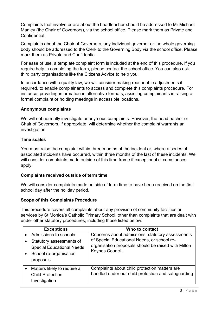Complaints that involve or are about the headteacher should be addressed to Mr Michael Manley (the Chair of Governors), via the school office. Please mark them as Private and **Confidential** 

Complaints about the Chair of Governors, any individual governor or the whole governing body should be addressed to the Clerk to the Governing Body via the school office. Please mark them as Private and Confidential.

For ease of use, a template complaint form is included at the end of this procedure. If you require help in completing the form, please contact the school office. You can also ask third party organisations like the Citizens Advice to help you.

In accordance with equality law, we will consider making reasonable adjustments if required, to enable complainants to access and complete this complaints procedure. For instance, providing information in alternative formats, assisting complainants in raising a formal complaint or holding meetings in accessible locations.

#### **Anonymous complaints**

We will not normally investigate anonymous complaints. However, the headteacher or Chair of Governors, if appropriate, will determine whether the complaint warrants an investigation.

# **Time scales**

You must raise the complaint within three months of the incident or, where a series of associated incidents have occurred, within three months of the last of these incidents. We will consider complaints made outside of this time frame if exceptional circumstances apply.

#### **Complaints received outside of term time**

We will consider complaints made outside of term time to have been received on the first school day after the holiday period.

# **Scope of this Complaints Procedure**

This procedure covers all complaints about any provision of community facilities or services by St Monica's Catholic Primary School, other than complaints that are dealt with under other statutory procedures, including those listed below.

| <b>Exceptions</b>                                                                                                            | Who to contact                                                                                                                                                            |
|------------------------------------------------------------------------------------------------------------------------------|---------------------------------------------------------------------------------------------------------------------------------------------------------------------------|
| Admissions to schools<br>Statutory assessments of<br><b>Special Educational Needs</b><br>School re-organisation<br>proposals | Concerns about admissions, statutory assessments<br>of Special Educational Needs, or school re-<br>organisation proposals should be raised with Milton<br>Keynes Council. |
| Matters likely to require a<br><b>Child Protection</b><br>Investigation                                                      | Complaints about child protection matters are<br>handled under our child protection and safeguarding                                                                      |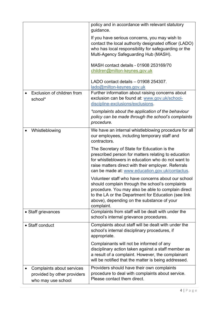|                                                                                | policy and in accordance with relevant statutory                                                                                                                                                                                                                               |
|--------------------------------------------------------------------------------|--------------------------------------------------------------------------------------------------------------------------------------------------------------------------------------------------------------------------------------------------------------------------------|
|                                                                                | guidance.<br>If you have serious concerns, you may wish to<br>contact the local authority designated officer (LADO)<br>who has local responsibility for safeguarding or the<br>Multi-Agency Safeguarding Hub (MASH).                                                           |
|                                                                                | MASH contact details - 01908 253169/70<br>children@milton-keynes.gov.uk                                                                                                                                                                                                        |
|                                                                                | LADO contact details - 01908 254307.<br>lado@milton-keynes.gov.uk                                                                                                                                                                                                              |
| Exclusion of children from<br>school*                                          | Further information about raising concerns about<br>exclusion can be found at: www.gov.uk/school-<br>discipline-exclusions/exclusions.                                                                                                                                         |
|                                                                                | *complaints about the application of the behaviour<br>policy can be made through the school's complaints<br>procedure.                                                                                                                                                         |
| Whistleblowing                                                                 | We have an internal whistleblowing procedure for all<br>our employees, including temporary staff and<br>contractors.                                                                                                                                                           |
|                                                                                | The Secretary of State for Education is the<br>prescribed person for matters relating to education<br>for whistleblowers in education who do not want to<br>raise matters direct with their employer. Referrals<br>can be made at: www.education.gov.uk/contactus.             |
|                                                                                | Volunteer staff who have concerns about our school<br>should complain through the school's complaints<br>procedure. You may also be able to complain direct<br>to the LA or the Department for Education (see link<br>above), depending on the substance of your<br>complaint. |
| • Staff grievances                                                             | Complaints from staff will be dealt with under the<br>school's internal grievance procedures.                                                                                                                                                                                  |
| • Staff conduct                                                                | Complaints about staff will be dealt with under the<br>school's internal disciplinary procedures, if<br>appropriate.                                                                                                                                                           |
|                                                                                | Complainants will not be informed of any<br>disciplinary action taken against a staff member as<br>a result of a complaint. However, the complainant<br>will be notified that the matter is being addressed.                                                                   |
| Complaints about services<br>provided by other providers<br>who may use school | Providers should have their own complaints<br>procedure to deal with complaints about service.<br>Please contact them direct.                                                                                                                                                  |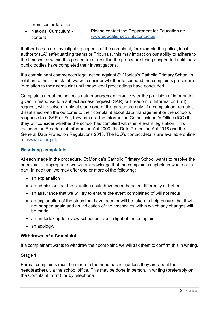| premises or facilities       |                                                 |
|------------------------------|-------------------------------------------------|
| <b>National Curriculum -</b> | Please contact the Department for Education at: |
| content                      | www.education.gov.uk/contactus                  |

If other bodies are investigating aspects of the complaint, for example the police, local authority (LA) safeguarding teams or Tribunals, this may impact on our ability to adhere to the timescales within this procedure or result in the procedure being suspended until those public bodies have completed their investigations.

If a complainant commences legal action against St Monica's Catholic Primary School in relation to their complaint, we will consider whether to suspend the complaints procedure in relation to their complaint until those legal proceedings have concluded.

Complaints about the school's data management practices or the provision of information given in response to a subject access request (SAR) or Freedom of Information (FoI) request, will receive a reply at stage one of this procedure only. If a complainant remains dissatisfied with the outcome to their complaint about data management or the school's response to a SAR or FoI, they can ask the Information Commissioner's Office (ICO) if they will consider whether the school has complied with the relevant legislation. This includes the Freedom of Information Act 2000, the Data Protection Act 2018 and the General Data Protection Regulations 2018. The ICO's contact details are available online at: [www.ico.org.uk](http://www.ico.org.uk/) 

# **Resolving complaints**

At each stage in the procedure, St Monica's Catholic Primary School wants to resolve the complaint. If appropriate, we will acknowledge that the complaint is upheld in whole or in part. In addition, we may offer one or more of the following:

- an explanation
- an admission that the situation could have been handled differently or better
- an assurance that we will try to ensure the event complained of will not recur
- an explanation of the steps that have been or will be taken to help ensure that it will not happen again and an indication of the timescales within which any changes will be made
- an undertaking to review school policies in light of the complaint
- an apology.

# **Withdrawal of a Complaint**

If a complainant wants to withdraw their complaint, we will ask them to confirm this in writing.

#### **Stage 1**

Formal complaints must be made to the headteacher (unless they are about the headteacher), via the school office. This may be done in person, in writing (preferably on the Complaint Form), or by telephone.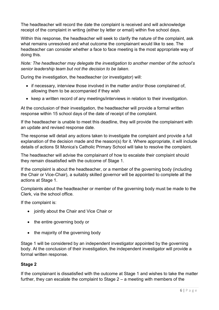The headteacher will record the date the complaint is received and will acknowledge receipt of the complaint in writing (either by letter or email) within five school days.

Within this response, the headteacher will seek to clarify the nature of the complaint, ask what remains unresolved and what outcome the complainant would like to see. The headteacher can consider whether a face to face meeting is the most appropriate way of doing this.

*Note: The headteacher may delegate the investigation to another member of the school's senior leadership team but not the decision to be taken.*

During the investigation, the headteacher (or investigator) will:

- if necessary, interview those involved in the matter and/or those complained of, allowing them to be accompanied if they wish
- keep a written record of any meetings/interviews in relation to their investigation.

At the conclusion of their investigation, the headteacher will provide a formal written response within 15 school days of the date of receipt of the complaint.

If the headteacher is unable to meet this deadline, they will provide the complainant with an update and revised response date.

The response will detail any actions taken to investigate the complaint and provide a full explanation of the decision made and the reason(s) for it. Where appropriate, it will include details of actions St Monica's Catholic Primary School will take to resolve the complaint.

The headteacher will advise the complainant of how to escalate their complaint should they remain dissatisfied with the outcome of Stage 1.

If the complaint is about the headteacher, or a member of the governing body (including the Chair or Vice-Chair), a suitably skilled governor will be appointed to complete all the actions at Stage 1.

Complaints about the headteacher or member of the governing body must be made to the Clerk, via the school office.

If the complaint is:

- jointly about the Chair and Vice Chair or
- the entire governing body or
- the majority of the governing body

Stage 1 will be considered by an independent investigator appointed by the governing body. At the conclusion of their investigation, the independent investigator will provide a formal written response.

# **Stage 2**

If the complainant is dissatisfied with the outcome at Stage 1 and wishes to take the matter further, they can escalate the complaint to Stage 2 – a meeting with members of the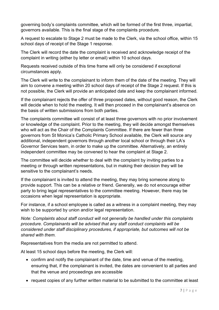governing body's complaints committee, which will be formed of the first three, impartial, governors available. This is the final stage of the complaints procedure.

A request to escalate to Stage 2 must be made to the Clerk, via the school office, within 15 school days of receipt of the Stage 1 response.

The Clerk will record the date the complaint is received and acknowledge receipt of the complaint in writing (either by letter or email) within 10 school days.

Requests received outside of this time frame will only be considered if exceptional circumstances apply.

The Clerk will write to the complainant to inform them of the date of the meeting. They will aim to convene a meeting within 20 school days of receipt of the Stage 2 request. If this is not possible, the Clerk will provide an anticipated date and keep the complainant informed.

If the complainant rejects the offer of three proposed dates, without good reason, the Clerk will decide when to hold the meeting. It will then proceed in the complainant's absence on the basis of written submissions from both parties.

The complaints committee will consist of at least three governors with no prior involvement or knowledge of the complaint. Prior to the meeting, they will decide amongst themselves who will act as the Chair of the Complaints Committee. If there are fewer than three governors from St Monica's Catholic Primary School available, the Clerk will source any additional, independent governors through another local school or through their LA's Governor Services team, in order to make up the committee. Alternatively, an entirely independent committee may be convened to hear the complaint at Stage 2.

The committee will decide whether to deal with the complaint by inviting parties to a meeting or through written representations, but in making their decision they will be sensitive to the complainant's needs.

If the complainant is invited to attend the meeting, they may bring someone along to provide support. This can be a relative or friend. Generally, we do not encourage either party to bring legal representatives to the committee meeting. However, there may be occasions when legal representation is appropriate.

For instance, if a school employee is called as a witness in a complaint meeting, they may wish to be supported by union and/or legal representation.

*Note: Complaints about staff conduct will not generally be handled under this complaints procedure. Complainants will be advised that any staff conduct complaints will be considered under staff disciplinary procedures, if appropriate, but outcomes will not be shared with them.* 

Representatives from the media are not permitted to attend.

At least 15 school days before the meeting, the Clerk will:

- confirm and notify the complainant of the date, time and venue of the meeting, ensuring that, if the complainant is invited, the dates are convenient to all parties and that the venue and proceedings are accessible
- request copies of any further written material to be submitted to the committee at least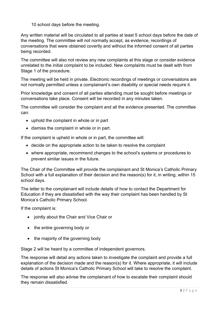10 school days before the meeting.

Any written material will be circulated to all parties at least 5 school days before the date of the meeting. The committee will not normally accept, as evidence, recordings of conversations that were obtained covertly and without the informed consent of all parties being recorded.

The committee will also not review any new complaints at this stage or consider evidence unrelated to the initial complaint to be included. New complaints must be dealt with from Stage 1 of the procedure.

The meeting will be held in private. Electronic recordings of meetings or conversations are not normally permitted unless a complainant's own disability or special needs require it.

Prior knowledge and consent of all parties attending must be sought before meetings or conversations take place. Consent will be recorded in any minutes taken.

The committee will consider the complaint and all the evidence presented. The committee can:

- uphold the complaint in whole or in part
- dismiss the complaint in whole or in part.

If the complaint is upheld in whole or in part, the committee will:

- decide on the appropriate action to be taken to resolve the complaint
- where appropriate, recommend changes to the school's systems or procedures to prevent similar issues in the future.

The Chair of the Committee will provide the complainant and St Monica's Catholic Primary School with a full explanation of their decision and the reason(s) for it, in writing, within 15 school days.

The letter to the complainant will include details of how to contact the Department for Education if they are dissatisfied with the way their complaint has been handled by St Monica's Catholic Primary School.

If the complaint is:

- jointly about the Chair and Vice Chair or
- the entire governing body or
- the majority of the governing body

Stage 2 will be heard by a committee of independent governors.

The response will detail any actions taken to investigate the complaint and provide a full explanation of the decision made and the reason(s) for it. Where appropriate, it will include details of actions St Monica's Catholic Primary School will take to resolve the complaint.

The response will also advise the complainant of how to escalate their complaint should they remain dissatisfied.